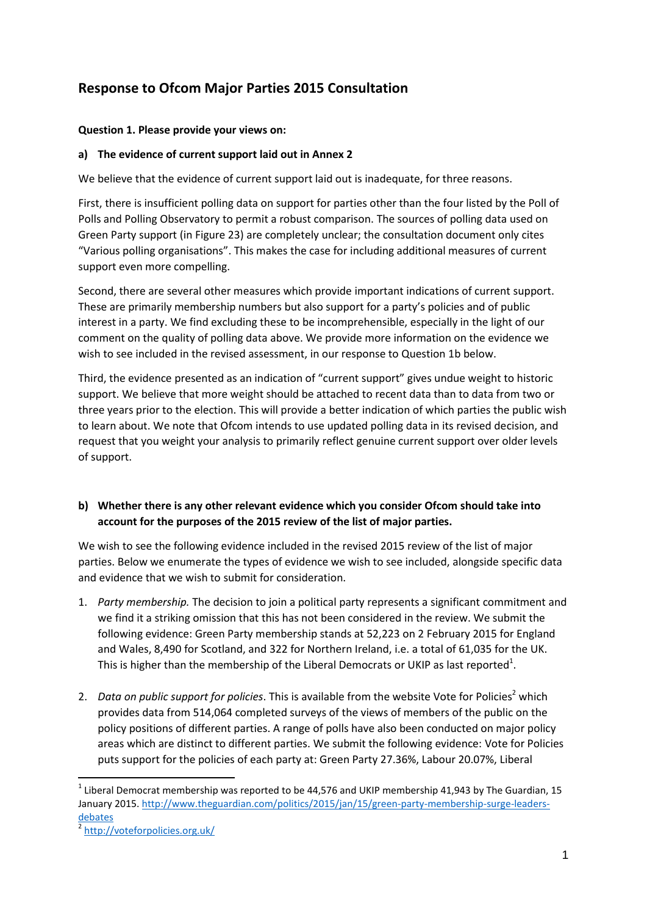# **Response to Ofcom Major Parties 2015 Consultation**

#### **Question 1. Please provide your views on:**

#### **a) The evidence of current support laid out in Annex 2**

We believe that the evidence of current support laid out is inadequate, for three reasons.

First, there is insufficient polling data on support for parties other than the four listed by the Poll of Polls and Polling Observatory to permit a robust comparison. The sources of polling data used on Green Party support (in Figure 23) are completely unclear; the consultation document only cites "Various polling organisations". This makes the case for including additional measures of current support even more compelling.

Second, there are several other measures which provide important indications of current support. These are primarily membership numbers but also support for a party's policies and of public interest in a party. We find excluding these to be incomprehensible, especially in the light of our comment on the quality of polling data above. We provide more information on the evidence we wish to see included in the revised assessment, in our response to Question 1b below.

Third, the evidence presented as an indication of "current support" gives undue weight to historic support. We believe that more weight should be attached to recent data than to data from two or three years prior to the election. This will provide a better indication of which parties the public wish to learn about. We note that Ofcom intends to use updated polling data in its revised decision, and request that you weight your analysis to primarily reflect genuine current support over older levels of support.

# **b) Whether there is any other relevant evidence which you consider Ofcom should take into account for the purposes of the 2015 review of the list of major parties.**

We wish to see the following evidence included in the revised 2015 review of the list of major parties. Below we enumerate the types of evidence we wish to see included, alongside specific data and evidence that we wish to submit for consideration.

- 1. *Party membership.* The decision to join a political party represents a significant commitment and we find it a striking omission that this has not been considered in the review. We submit the following evidence: Green Party membership stands at 52,223 on 2 February 2015 for England and Wales, 8,490 for Scotland, and 322 for Northern Ireland, i.e. a total of 61,035 for the UK. This is higher than the membership of the Liberal Democrats or UKIP as last reported<sup>1</sup>.
- 2. *Data on public support for policies*. This is available from the website Vote for Policies<sup>2</sup> which provides data from 514,064 completed surveys of the views of members of the public on the policy positions of different parties. A range of polls have also been conducted on major policy areas which are distinct to different parties. We submit the following evidence: Vote for Policies puts support for the policies of each party at: Green Party 27.36%, Labour 20.07%, Liberal

1

<sup>&</sup>lt;sup>1</sup> Liberal Democrat membership was reported to be 44,576 and UKIP membership 41,943 by The Guardian, 15 January 2015[. http://www.theguardian.com/politics/2015/jan/15/green-party-membership-surge-leaders](http://www.theguardian.com/politics/2015/jan/15/green-party-membership-surge-leaders-debates)[debates](http://www.theguardian.com/politics/2015/jan/15/green-party-membership-surge-leaders-debates)

<sup>2</sup> <http://voteforpolicies.org.uk/>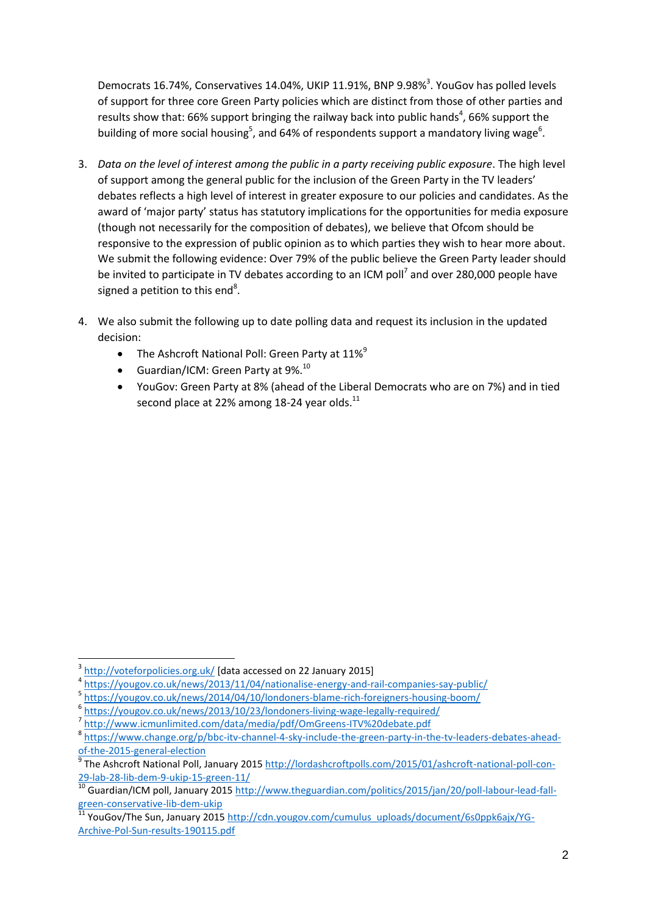Democrats 16.74%, Conservatives 14.04%, UKIP 11.91%, BNP 9.98%<sup>3</sup>. YouGov has polled levels of support for three core Green Party policies which are distinct from those of other parties and results show that: 66% support bringing the railway back into public hands<sup>4</sup>, 66% support the building of more social housing<sup>5</sup>, and 64% of respondents support a mandatory living wage<sup>6</sup>.

- 3. *Data on the level of interest among the public in a party receiving public exposure*. The high level of support among the general public for the inclusion of the Green Party in the TV leaders' debates reflects a high level of interest in greater exposure to our policies and candidates. As the award of 'major party' status has statutory implications for the opportunities for media exposure (though not necessarily for the composition of debates), we believe that Ofcom should be responsive to the expression of public opinion as to which parties they wish to hear more about. We submit the following evidence: Over 79% of the public believe the Green Party leader should be invited to participate in TV debates according to an ICM poll<sup>7</sup> and over 280,000 people have signed a petition to this end<sup>8</sup>.
- 4. We also submit the following up to date polling data and request its inclusion in the updated decision:
	- The Ashcroft National Poll: Green Party at  $11\%^9$
	- Guardian/ICM: Green Party at  $9\%$ .<sup>10</sup>
	- YouGov: Green Party at 8% (ahead of the Liberal Democrats who are on 7%) and in tied second place at 22% among 18-24 year olds. $^{11}$

<sup>1</sup> 3 <http://voteforpolicies.org.uk/> [data accessed on 22 January 2015]

<sup>4</sup> <https://yougov.co.uk/news/2013/11/04/nationalise-energy-and-rail-companies-say-public/>

<sup>5</sup> <https://yougov.co.uk/news/2014/04/10/londoners-blame-rich-foreigners-housing-boom/>

<sup>6</sup> <https://yougov.co.uk/news/2013/10/23/londoners-living-wage-legally-required/>

<sup>7</sup> <http://www.icmunlimited.com/data/media/pdf/OmGreens-ITV%20debate.pdf>

<sup>&</sup>lt;sup>8</sup> [https://www.change.org/p/bbc-itv-channel-4-sky-include-the-green-party-in-the-tv-leaders-debates-ahead](https://www.change.org/p/bbc-itv-channel-4-sky-include-the-green-party-in-the-tv-leaders-debates-ahead-of-the-2015-general-election)[of-the-2015-general-election](https://www.change.org/p/bbc-itv-channel-4-sky-include-the-green-party-in-the-tv-leaders-debates-ahead-of-the-2015-general-election)<br><sup>9</sup> The Ashereft National Poll

The Ashcroft National Poll, January 2015 [http://lordashcroftpolls.com/2015/01/ashcroft-national-poll-con-](http://lordashcroftpolls.com/2015/01/ashcroft-national-poll-con-29-lab-28-lib-dem-9-ukip-15-green-11/)[29-lab-28-lib-dem-9-ukip-15-green-11/](http://lordashcroftpolls.com/2015/01/ashcroft-national-poll-con-29-lab-28-lib-dem-9-ukip-15-green-11/)

<sup>&</sup>lt;sup>10</sup> Guardian/ICM poll, January 2015 [http://www.theguardian.com/politics/2015/jan/20/poll-labour-lead-fall](http://www.theguardian.com/politics/2015/jan/20/poll-labour-lead-fall-green-conservative-lib-dem-ukip)[green-conservative-lib-dem-ukip](http://www.theguardian.com/politics/2015/jan/20/poll-labour-lead-fall-green-conservative-lib-dem-ukip)

 $\frac{11}{11}$  YouGov/The Sun, January 201[5 http://cdn.yougov.com/cumulus\\_uploads/document/6s0ppk6ajx/YG-](http://cdn.yougov.com/cumulus_uploads/document/6s0ppk6ajx/YG-Archive-Pol-Sun-results-190115.pdf)[Archive-Pol-Sun-results-190115.pdf](http://cdn.yougov.com/cumulus_uploads/document/6s0ppk6ajx/YG-Archive-Pol-Sun-results-190115.pdf)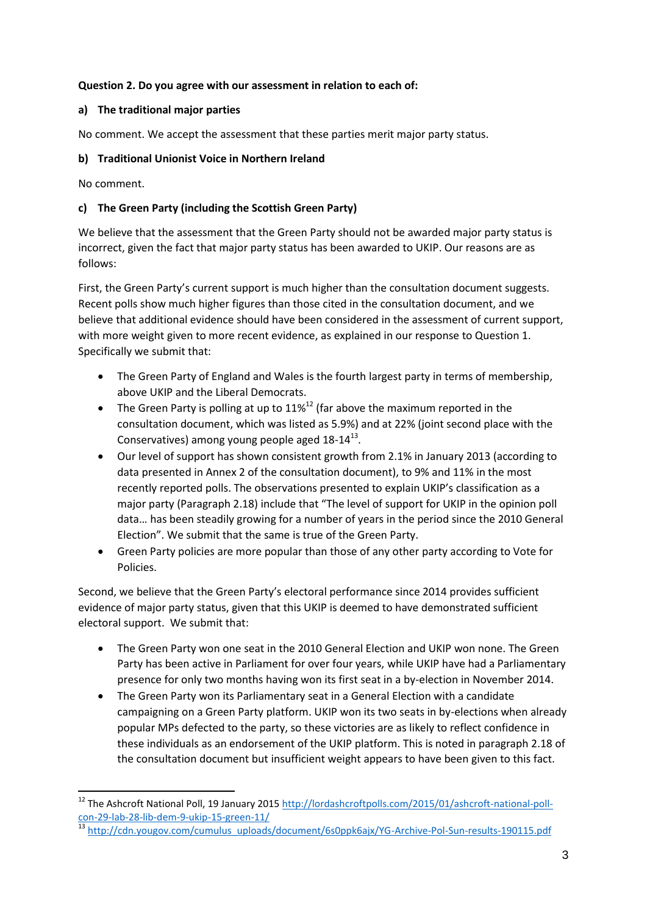#### **Question 2. Do you agree with our assessment in relation to each of:**

#### **a) The traditional major parties**

No comment. We accept the assessment that these parties merit major party status.

### **b) Traditional Unionist Voice in Northern Ireland**

No comment.

**.** 

## **c) The Green Party (including the Scottish Green Party)**

We believe that the assessment that the Green Party should not be awarded major party status is incorrect, given the fact that major party status has been awarded to UKIP. Our reasons are as follows:

First, the Green Party's current support is much higher than the consultation document suggests. Recent polls show much higher figures than those cited in the consultation document, and we believe that additional evidence should have been considered in the assessment of current support, with more weight given to more recent evidence, as explained in our response to Question 1. Specifically we submit that:

- The Green Party of England and Wales is the fourth largest party in terms of membership, above UKIP and the Liberal Democrats.
- The Green Party is polling at up to  $11\%^{12}$  (far above the maximum reported in the consultation document, which was listed as 5.9%) and at 22% (joint second place with the Conservatives) among young people aged  $18-14^{13}$ .
- Our level of support has shown consistent growth from 2.1% in January 2013 (according to data presented in Annex 2 of the consultation document), to 9% and 11% in the most recently reported polls. The observations presented to explain UKIP's classification as a major party (Paragraph 2.18) include that "The level of support for UKIP in the opinion poll data… has been steadily growing for a number of years in the period since the 2010 General Election". We submit that the same is true of the Green Party.
- Green Party policies are more popular than those of any other party according to Vote for Policies.

Second, we believe that the Green Party's electoral performance since 2014 provides sufficient evidence of major party status, given that this UKIP is deemed to have demonstrated sufficient electoral support. We submit that:

- The Green Party won one seat in the 2010 General Election and UKIP won none. The Green Party has been active in Parliament for over four years, while UKIP have had a Parliamentary presence for only two months having won its first seat in a by-election in November 2014.
- The Green Party won its Parliamentary seat in a General Election with a candidate campaigning on a Green Party platform. UKIP won its two seats in by-elections when already popular MPs defected to the party, so these victories are as likely to reflect confidence in these individuals as an endorsement of the UKIP platform. This is noted in paragraph 2.18 of the consultation document but insufficient weight appears to have been given to this fact.

<sup>&</sup>lt;sup>12</sup> The Ashcroft National Poll, 19 January 2015 [http://lordashcroftpolls.com/2015/01/ashcroft-national-poll](http://lordashcroftpolls.com/2015/01/ashcroft-national-poll-con-29-lab-28-lib-dem-9-ukip-15-green-11/)[con-29-lab-28-lib-dem-9-ukip-15-green-11/](http://lordashcroftpolls.com/2015/01/ashcroft-national-poll-con-29-lab-28-lib-dem-9-ukip-15-green-11/)

<sup>13</sup> [http://cdn.yougov.com/cumulus\\_uploads/document/6s0ppk6ajx/YG-Archive-Pol-Sun-results-190115.pdf](http://cdn.yougov.com/cumulus_uploads/document/6s0ppk6ajx/YG-Archive-Pol-Sun-results-190115.pdf)